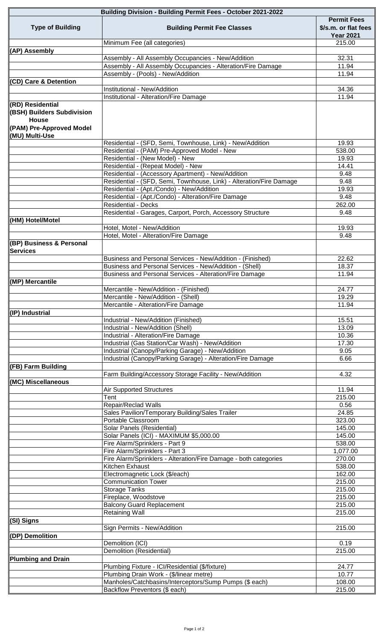| <b>Building Division - Building Permit Fees - October 2021-2022</b> |                                                                                                                        |                                                                |
|---------------------------------------------------------------------|------------------------------------------------------------------------------------------------------------------------|----------------------------------------------------------------|
| <b>Type of Building</b>                                             | <b>Building Permit Fee Classes</b>                                                                                     | <b>Permit Fees</b><br>\$/s.m. or flat fees<br><b>Year 2021</b> |
|                                                                     | Minimum Fee (all categories)                                                                                           | 215.00                                                         |
| (AP) Assembly                                                       | Assembly - All Assembly Occupancies - New/Addition                                                                     | 32.31                                                          |
|                                                                     | Assembly - All Assembly Occupancies - Alteration/Fire Damage                                                           | 11.94                                                          |
|                                                                     | Assembly - (Pools) - New/Addition                                                                                      | 11.94                                                          |
| (CD) Care & Detention                                               |                                                                                                                        |                                                                |
|                                                                     | Institutional - New/Addition                                                                                           | 34.36                                                          |
|                                                                     | Institutional - Alteration/Fire Damage                                                                                 | 11.94                                                          |
| (RD) Residential<br>(BSH) Builders Subdivision<br><b>House</b>      |                                                                                                                        |                                                                |
| <b>PAM) Pre-Approved Model</b><br>(MU) Multi-Use                    |                                                                                                                        |                                                                |
|                                                                     | Residential - (SFD, Semi, Townhouse, Link) - New/Addition<br>Residential - (PAM) Pre-Approved Model - New              | 19.93<br>538.00                                                |
|                                                                     | Residential - (New Model) - New                                                                                        | 19.93                                                          |
|                                                                     | Residential - (Repeat Model) - New                                                                                     | 14.41                                                          |
|                                                                     | Residential - (Accessory Apartment) - New/Addition                                                                     | 9.48                                                           |
|                                                                     | Residential - (SFD, Semi, Townhouse, Link) - Alteration/Fire Damage                                                    | 9.48                                                           |
|                                                                     | Residential - (Apt./Condo) - New/Addition<br>Residential - (Apt./Condo) - Alteration/Fire Damage                       | 19.93<br>9.48                                                  |
|                                                                     | <b>Residential - Decks</b>                                                                                             | $\overline{262.00}$                                            |
|                                                                     | Residential - Garages, Carport, Porch, Accessory Structure                                                             | 9.48                                                           |
| (HM) Hotel/Motel                                                    | Hotel, Motel - New/Addition                                                                                            | 19.93                                                          |
|                                                                     | Hotel, Motel - Alteration/Fire Damage                                                                                  | 9.48                                                           |
| (BP) Business & Personal<br><b>Services</b>                         |                                                                                                                        |                                                                |
|                                                                     | Business and Personal Services - New/Addition - (Finished)                                                             | 22.62                                                          |
|                                                                     | Business and Personal Services - New/Addition - (Shell)<br>Business and Personal Services - Alteration/Fire Damage     | 18.37<br>11.94                                                 |
| (MP) Mercantile                                                     |                                                                                                                        |                                                                |
|                                                                     | Mercantile - New/Addition - (Finished)                                                                                 | 24.77                                                          |
|                                                                     | Mercantile - New/Addition - (Shell)                                                                                    | 19.29                                                          |
|                                                                     | Mercantile - Alteration/Fire Damage                                                                                    | 11.94                                                          |
| (IP) Industrial                                                     | Industrial - New/Addition (Finished)                                                                                   | 15.51                                                          |
|                                                                     | Industrial - New/Addition (Shell)                                                                                      | 13.09                                                          |
|                                                                     | Industrial - Alteration/Fire Damage                                                                                    | 10.36                                                          |
|                                                                     | Industrial (Gas Station/Car Wash) - New/Addition                                                                       | 17.30                                                          |
|                                                                     | Industrial (Canopy/Parking Garage) - New/Addition                                                                      | 9.05                                                           |
| (FB) Farm Building                                                  | Industrial (Canopy/Parking Garage) - Alteration/Fire Damage<br>Farm Building/Accessory Storage Facility - New/Addition | 6.66<br>4.32                                                   |
| (MC) Miscellaneous                                                  |                                                                                                                        |                                                                |
|                                                                     | <b>Air Supported Structures</b>                                                                                        | 11.94                                                          |
|                                                                     | Tent<br>Repair/Reclad Walls                                                                                            | 215.00<br>0.56                                                 |
|                                                                     | Sales Pavilion/Temporary Building/Sales Trailer                                                                        | 24.85                                                          |
|                                                                     | Portable Classroom                                                                                                     | 323.00                                                         |
|                                                                     | Solar Panels (Residential)                                                                                             | 145.00                                                         |
|                                                                     | Solar Panels (ICI) - MAXIMUM \$5,000.00                                                                                | 145.00                                                         |
|                                                                     | Fire Alarm/Sprinklers - Part 9<br>Fire Alarm/Sprinklers - Part 3                                                       | 538.00<br>1,077.00                                             |
|                                                                     | Fire Alarm/Sprinklers - Alteration/Fire Damage - both categories                                                       | 270.00                                                         |
|                                                                     | Kitchen Exhaust                                                                                                        | 538.00                                                         |
|                                                                     | Electromagnetic Lock (\$/each)                                                                                         | 162.00                                                         |
|                                                                     | <b>Communication Tower</b>                                                                                             | 215.00                                                         |
|                                                                     | Storage Tanks                                                                                                          | 215.00<br>215.00                                               |
|                                                                     | Fireplace, Woodstove<br><b>Balcony Guard Replacement</b>                                                               | 215.00                                                         |
|                                                                     | <b>Retaining Wall</b>                                                                                                  | 215.00                                                         |
| (SI) Signs                                                          |                                                                                                                        |                                                                |
|                                                                     | Sign Permits - New/Addition                                                                                            | 215.00                                                         |
| (DP) Demolition                                                     | Demolition (ICI)                                                                                                       |                                                                |
|                                                                     | <b>Demolition (Residential)</b>                                                                                        | 0.19<br>215.00                                                 |
| <b>Plumbing and Drain</b>                                           |                                                                                                                        |                                                                |
|                                                                     | Plumbing Fixture - ICI/Residential (\$/fixture)                                                                        | 24.77                                                          |
|                                                                     | Plumbing Drain Work - (\$/linear metre)                                                                                | 10.77                                                          |
|                                                                     | Manholes/Catchbasins/Interceptors/Sump Pumps (\$ each)                                                                 | 108.00                                                         |
|                                                                     | Backflow Preventors (\$ each)                                                                                          | 215.00                                                         |